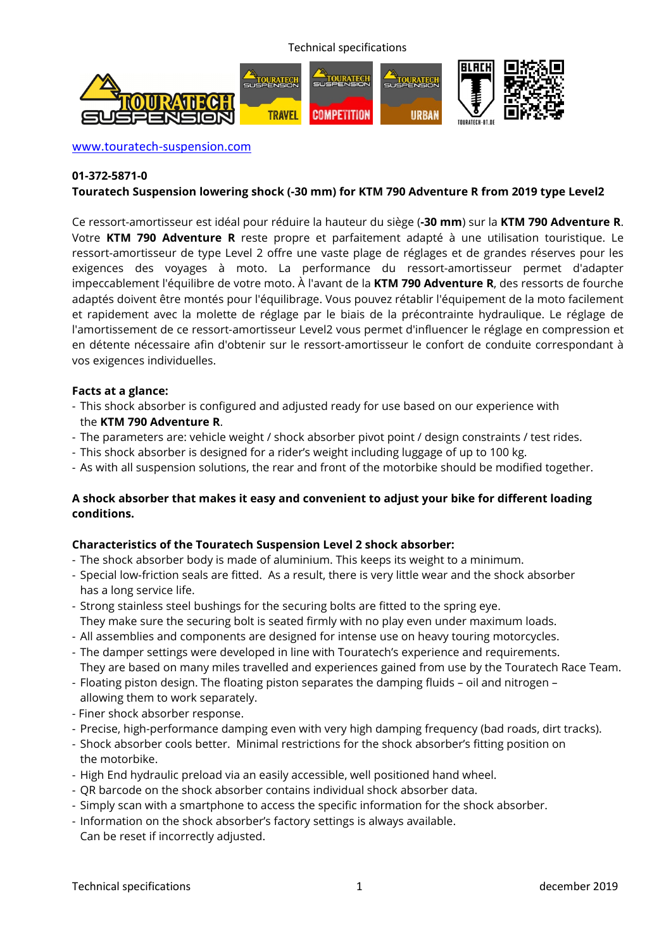Technical specifications



www.touratech-suspension.com

# **01-372-5871-0**

## **Touratech Suspension lowering shock (-30 mm) for KTM 790 Adventure R from 2019 type Level2**

Ce ressort-amortisseur est idéal pour réduire la hauteur du siège (**-30 mm**) sur la **KTM 790 Adventure R**. Votre **KTM 790 Adventure R** reste propre et parfaitement adapté à une utilisation touristique. Le ressort-amortisseur de type Level 2 offre une vaste plage de réglages et de grandes réserves pour les exigences des voyages à moto. La performance du ressort-amortisseur permet d'adapter impeccablement l'équilibre de votre moto. À l'avant de la **KTM 790 Adventure R**, des ressorts de fourche adaptés doivent être montés pour l'équilibrage. Vous pouvez rétablir l'équipement de la moto facilement et rapidement avec la molette de réglage par le biais de la précontrainte hydraulique. Le réglage de l'amortissement de ce ressort-amortisseur Level2 vous permet d'influencer le réglage en compression et en détente nécessaire afin d'obtenir sur le ressort-amortisseur le confort de conduite correspondant à vos exigences individuelles.

#### **Facts at a glance:**

- This shock absorber is configured and adjusted ready for use based on our experience with the **KTM 790 Adventure R**.
- The parameters are: vehicle weight / shock absorber pivot point / design constraints / test rides.
- This shock absorber is designed for a rider's weight including luggage of up to 100 kg.
- As with all suspension solutions, the rear and front of the motorbike should be modified together.

# **A shock absorber that makes it easy and convenient to adjust your bike for different loading conditions.**

#### **Characteristics of the Touratech Suspension Level 2 shock absorber:**

- The shock absorber body is made of aluminium. This keeps its weight to a minimum.
- Special low-friction seals are fitted. As a result, there is very little wear and the shock absorber has a long service life.
- Strong stainless steel bushings for the securing bolts are fitted to the spring eye. They make sure the securing bolt is seated firmly with no play even under maximum loads.
- All assemblies and components are designed for intense use on heavy touring motorcycles.
- The damper settings were developed in line with Touratech's experience and requirements. They are based on many miles travelled and experiences gained from use by the Touratech Race Team.
- Floating piston design. The floating piston separates the damping fluids oil and nitrogen allowing them to work separately.
- Finer shock absorber response.
- Precise, high-performance damping even with very high damping frequency (bad roads, dirt tracks).
- Shock absorber cools better. Minimal restrictions for the shock absorber's fitting position on the motorbike.
- High End hydraulic preload via an easily accessible, well positioned hand wheel.
- QR barcode on the shock absorber contains individual shock absorber data.
- Simply scan with a smartphone to access the specific information for the shock absorber.
- Information on the shock absorber's factory settings is always available. Can be reset if incorrectly adjusted.